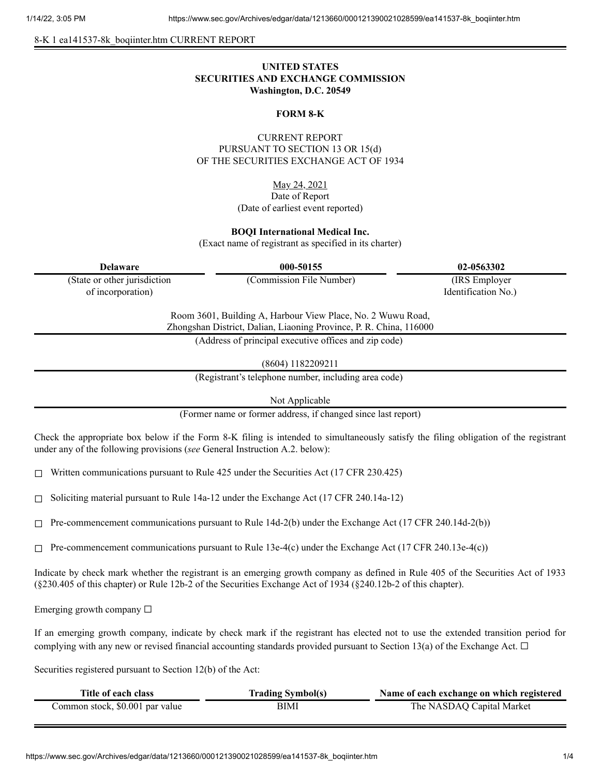8-K 1 ea141537-8k\_boqiinter.htm CURRENT REPORT

# **UNITED STATES SECURITIES AND EXCHANGE COMMISSION Washington, D.C. 20549**

### **FORM 8-K**

# CURRENT REPORT PURSUANT TO SECTION 13 OR 15(d) OF THE SECURITIES EXCHANGE ACT OF 1934

May 24, 2021 Date of Report (Date of earliest event reported)

#### **BOQI International Medical Inc.**

(Exact name of registrant as specified in its charter)

| <b>Delaware</b>                                                                                                                   | 000-50155                | 02-0563302          |  |
|-----------------------------------------------------------------------------------------------------------------------------------|--------------------------|---------------------|--|
| (State or other jurisdiction                                                                                                      | (Commission File Number) | (IRS Employer)      |  |
| of incorporation)                                                                                                                 |                          | Identification No.) |  |
| Room 3601, Building A, Harbour View Place, No. 2 Wuwu Road,<br>Zhongshan District, Dalian, Liaoning Province, P. R. China, 116000 |                          |                     |  |
| (Address of principal executive offices and zip code)                                                                             |                          |                     |  |
|                                                                                                                                   |                          |                     |  |

(8604) 1182209211

(Registrant's telephone number, including area code)

Not Applicable

(Former name or former address, if changed since last report)

Check the appropriate box below if the Form 8-K filing is intended to simultaneously satisfy the filing obligation of the registrant under any of the following provisions (*see* General Instruction A.2. below):

 $\Box$  Written communications pursuant to Rule 425 under the Securities Act (17 CFR 230.425)

 $\Box$  Soliciting material pursuant to Rule 14a-12 under the Exchange Act (17 CFR 240.14a-12)

☐ Pre-commencement communications pursuant to Rule 14d-2(b) under the Exchange Act (17 CFR 240.14d-2(b))

 $\Box$  Pre-commencement communications pursuant to Rule 13e-4(c) under the Exchange Act (17 CFR 240.13e-4(c))

Indicate by check mark whether the registrant is an emerging growth company as defined in Rule 405 of the Securities Act of 1933 (§230.405 of this chapter) or Rule 12b-2 of the Securities Exchange Act of 1934 (§240.12b-2 of this chapter).

Emerging growth company  $\Box$ 

If an emerging growth company, indicate by check mark if the registrant has elected not to use the extended transition period for complying with any new or revised financial accounting standards provided pursuant to Section 13(a) of the Exchange Act.  $\Box$ 

Securities registered pursuant to Section 12(b) of the Act:

| Title of each class             | <b>Trading Symbol(s)</b> | Name of each exchange on which registered |
|---------------------------------|--------------------------|-------------------------------------------|
| Common stock, \$0.001 par value | BIMI                     | The NASDAQ Capital Market                 |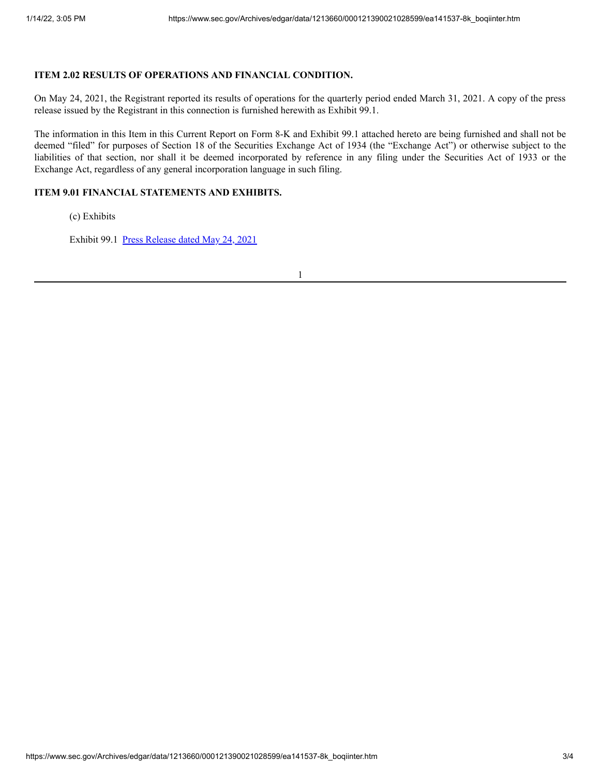# **ITEM 2.02 RESULTS OF OPERATIONS AND FINANCIAL CONDITION.**

On May 24, 2021, the Registrant reported its results of operations for the quarterly period ended March 31, 2021. A copy of the press release issued by the Registrant in this connection is furnished herewith as Exhibit 99.1.

The information in this Item in this Current Report on Form 8-K and Exhibit 99.1 attached hereto are being furnished and shall not be deemed "filed" for purposes of Section 18 of the Securities Exchange Act of 1934 (the "Exchange Act") or otherwise subject to the liabilities of that section, nor shall it be deemed incorporated by reference in any filing under the Securities Act of 1933 or the Exchange Act, regardless of any general incorporation language in such filing.

### **ITEM 9.01 FINANCIAL STATEMENTS AND EXHIBITS.**

(c) Exhibits

Exhibit 99.1 Press [Release](https://www.sec.gov/Archives/edgar/data/1213660/000121390021028599/ea141537ex99-1_boqiinter.htm) dated May 24, 2021

1